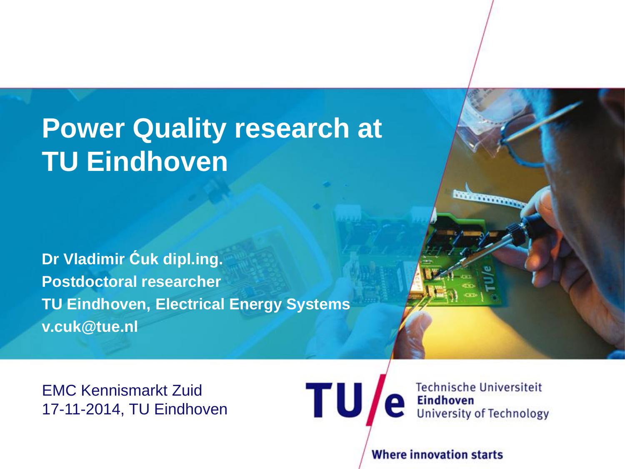## **Power Quality research at TU Eindhoven**

**Dr Vladimir Ćuk dipl.ing. Postdoctoral researcher TU Eindhoven, Electrical Energy Systems v.cuk@tue.nl**

EMC Kennismarkt Zuid 17-11-2014, TU Eindhoven



**STATES CONTROL** 

**Where innovation starts** 

TU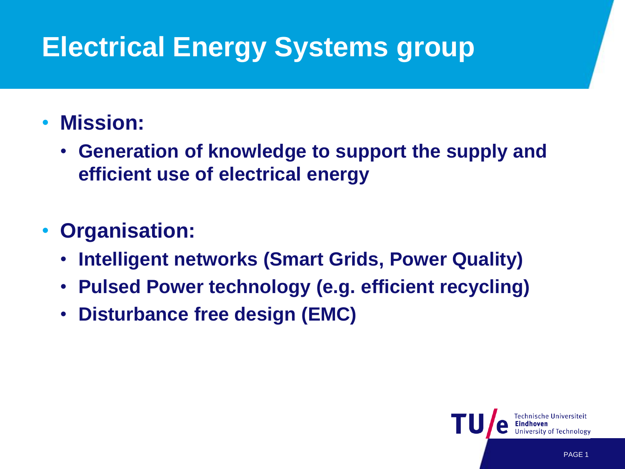# **Electrical Energy Systems group**

#### • **Mission:**

• **Generation of knowledge to support the supply and efficient use of electrical energy**

#### • **Organisation:**

- **Intelligent networks (Smart Grids, Power Quality)**
- **Pulsed Power technology (e.g. efficient recycling)**
- **Disturbance free design (EMC)**

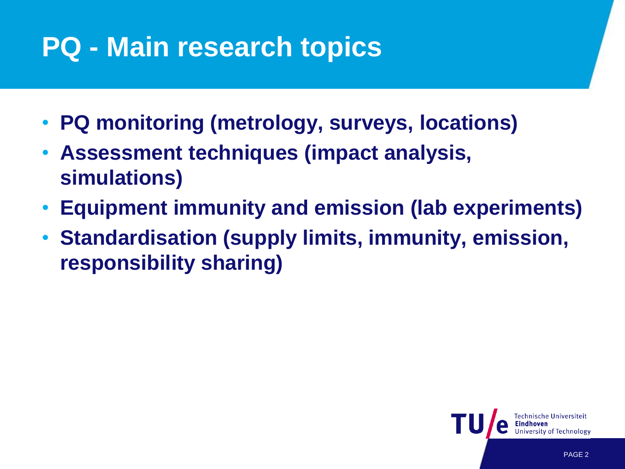# **PQ - Main research topics**

- **PQ monitoring (metrology, surveys, locations)**
- **Assessment techniques (impact analysis, simulations)**
- **Equipment immunity and emission (lab experiments)**
- **Standardisation (supply limits, immunity, emission, responsibility sharing)**

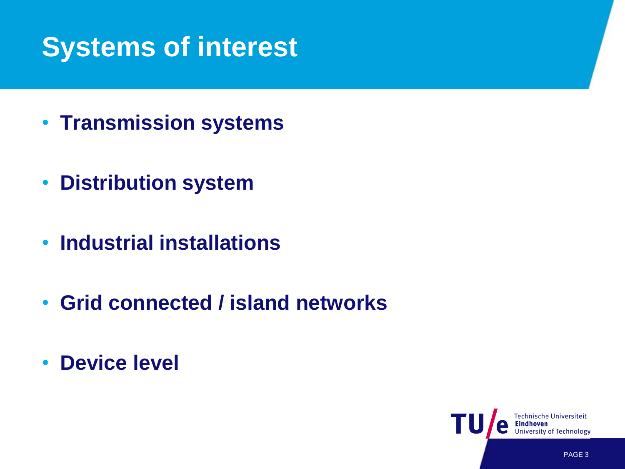## **Systems of interest**

- **Transmission systems**
- **Distribution system**
- **Industrial installations**
- **Grid connected / island networks**
- **Device level**

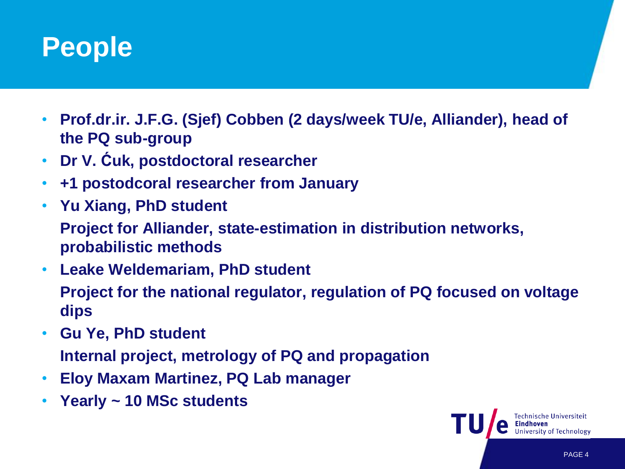### **People**

- **Prof.dr.ir. J.F.G. (Sjef) Cobben (2 days/week TU/e, Alliander), head of the PQ sub-group**
- **Dr V. Ćuk, postdoctoral researcher**
- **+1 postodcoral researcher from January**
- **Yu Xiang, PhD student**
	- **Project for Alliander, state-estimation in distribution networks, probabilistic methods**
- **Leake Weldemariam, PhD student Project for the national regulator, regulation of PQ focused on voltage dips**
- **Gu Ye, PhD student Internal project, metrology of PQ and propagation**
- **Eloy Maxam Martinez, PQ Lab manager**
- **Yearly ~ 10 MSc students**

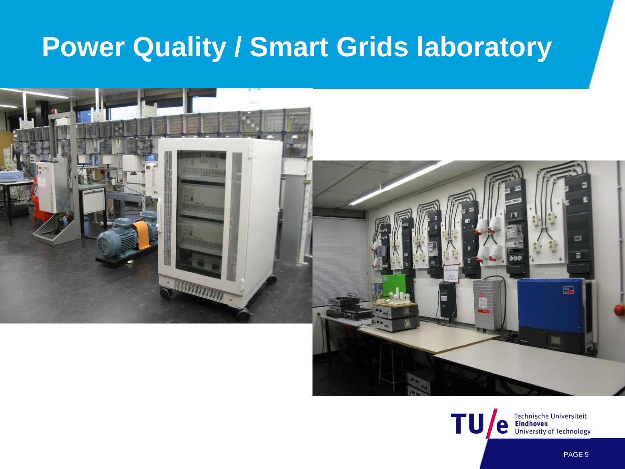### **Power Quality / Smart Grids laboratory**



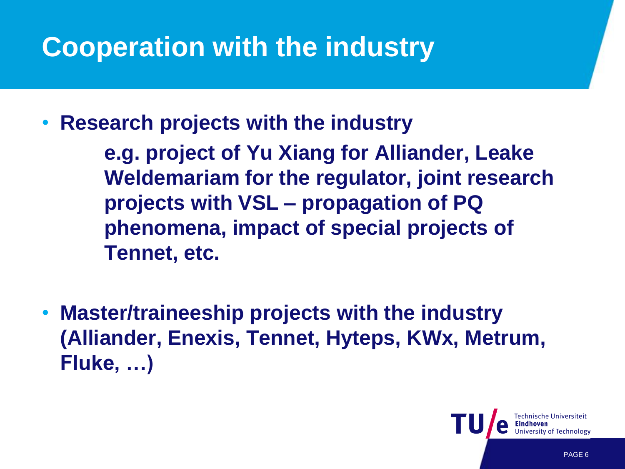# **Cooperation with the industry**

• **Research projects with the industry** 

**e.g. project of Yu Xiang for Alliander, Leake Weldemariam for the regulator, joint research projects with VSL – propagation of PQ phenomena, impact of special projects of Tennet, etc.**

• **Master/traineeship projects with the industry (Alliander, Enexis, Tennet, Hyteps, KWx, Metrum, Fluke, …)**

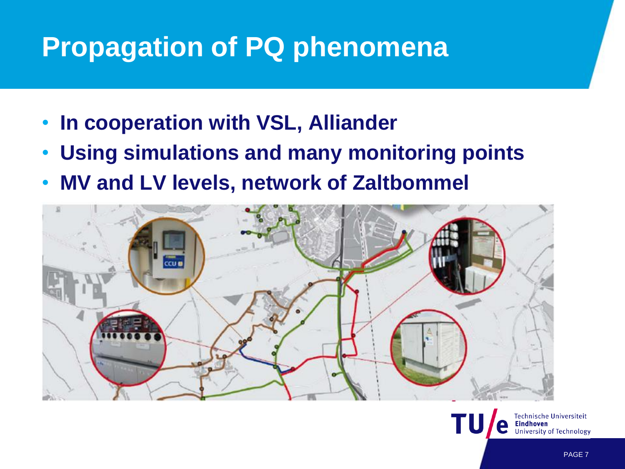## **Propagation of PQ phenomena**

- **In cooperation with VSL, Alliander**
- **Using simulations and many monitoring points**
- **MV and LV levels, network of Zaltbommel**



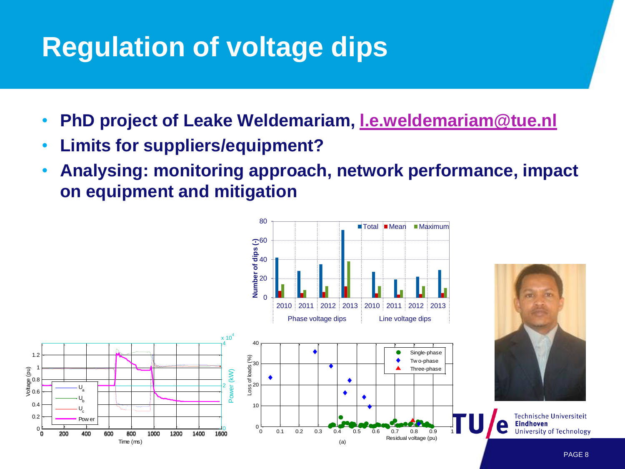## **Regulation of voltage dips**

• **PhD project of Leake Weldemariam, [l.e.weldemariam@tue.nl](mailto:l.e.weldemariam@tue.nl)**

80

- **Limits for suppliers/equipment?**
- **Analysing: monitoring approach, network performance, impact on equipment and mitigation**

■Total Mean Maximum

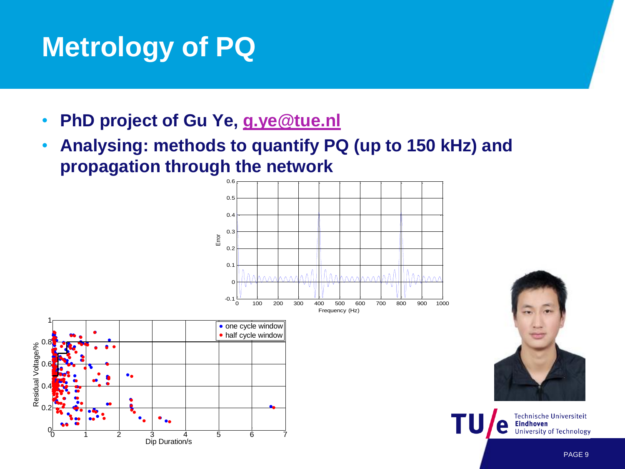## **Metrology of PQ**

- **PhD project of Gu Ye, [g.ye@tue.nl](mailto:g.ye@tue.nl)**
- **Analysing: methods to quantify PQ (up to 150 kHz) and propagation through the network**







Technische Universiteit **Eindhoven University of Technology**